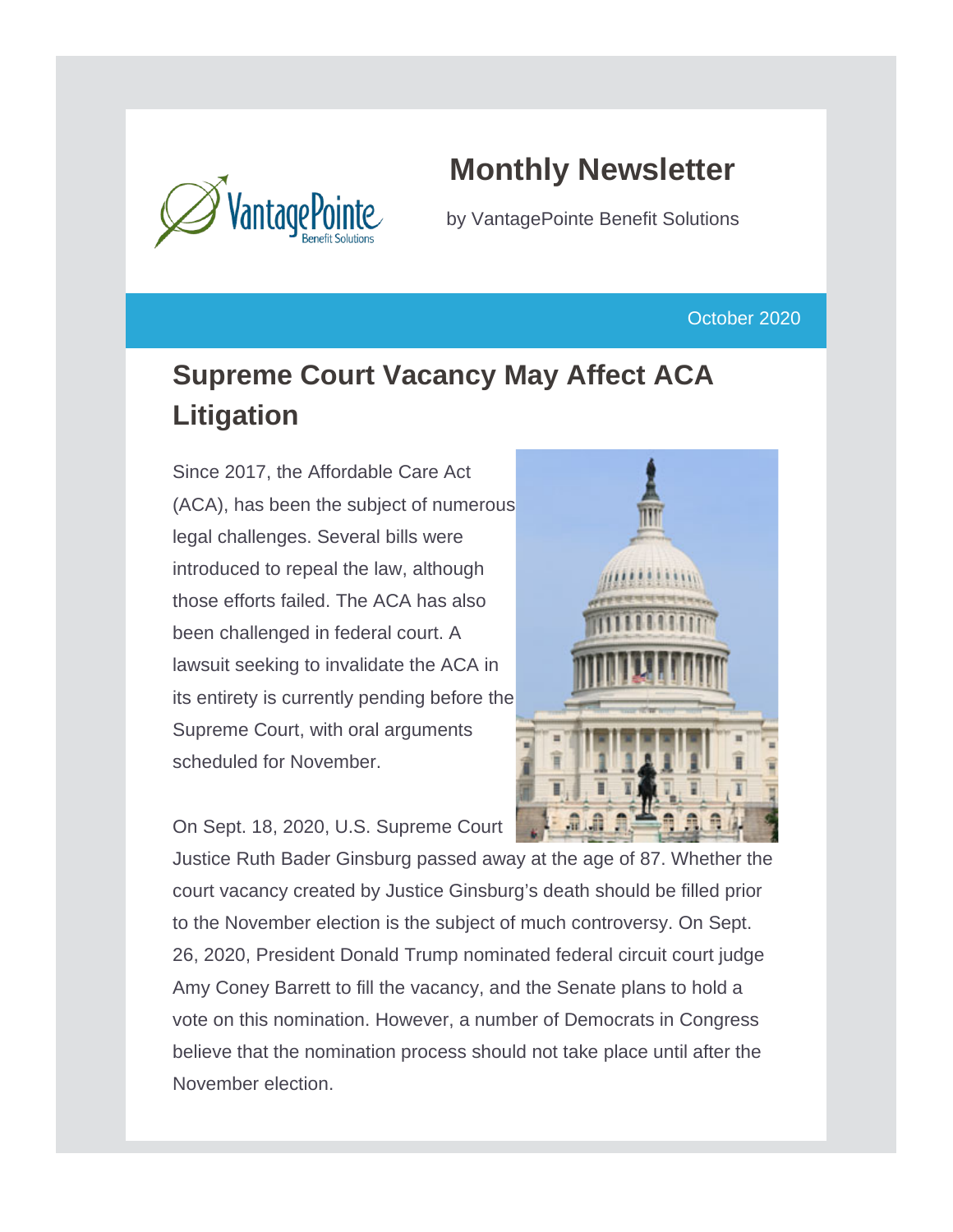

# **Monthly Newsletter**

by VantagePointe Benefit Solutions

October 2020

# **Supreme Court Vacancy May Affect ACA Litigation**

Since 2017, the Affordable Care Act (ACA), has been the subject of numerous legal challenges. Several bills were introduced to repeal the law, although those efforts failed. The ACA has also been challenged in federal court. A lawsuit seeking to invalidate the ACA in its entirety is currently pending before the Supreme Court, with oral arguments scheduled for November.



On Sept. 18, 2020, U.S. Supreme Court

Justice Ruth Bader Ginsburg passed away at the age of 87. Whether the court vacancy created by Justice Ginsburg's death should be filled prior to the November election is the subject of much controversy. On Sept. 26, 2020, President Donald Trump nominated federal circuit court judge Amy Coney Barrett to fill the vacancy, and the Senate plans to hold a vote on this nomination. However, a number of Democrats in Congress believe that the nomination process should not take place until after the November election.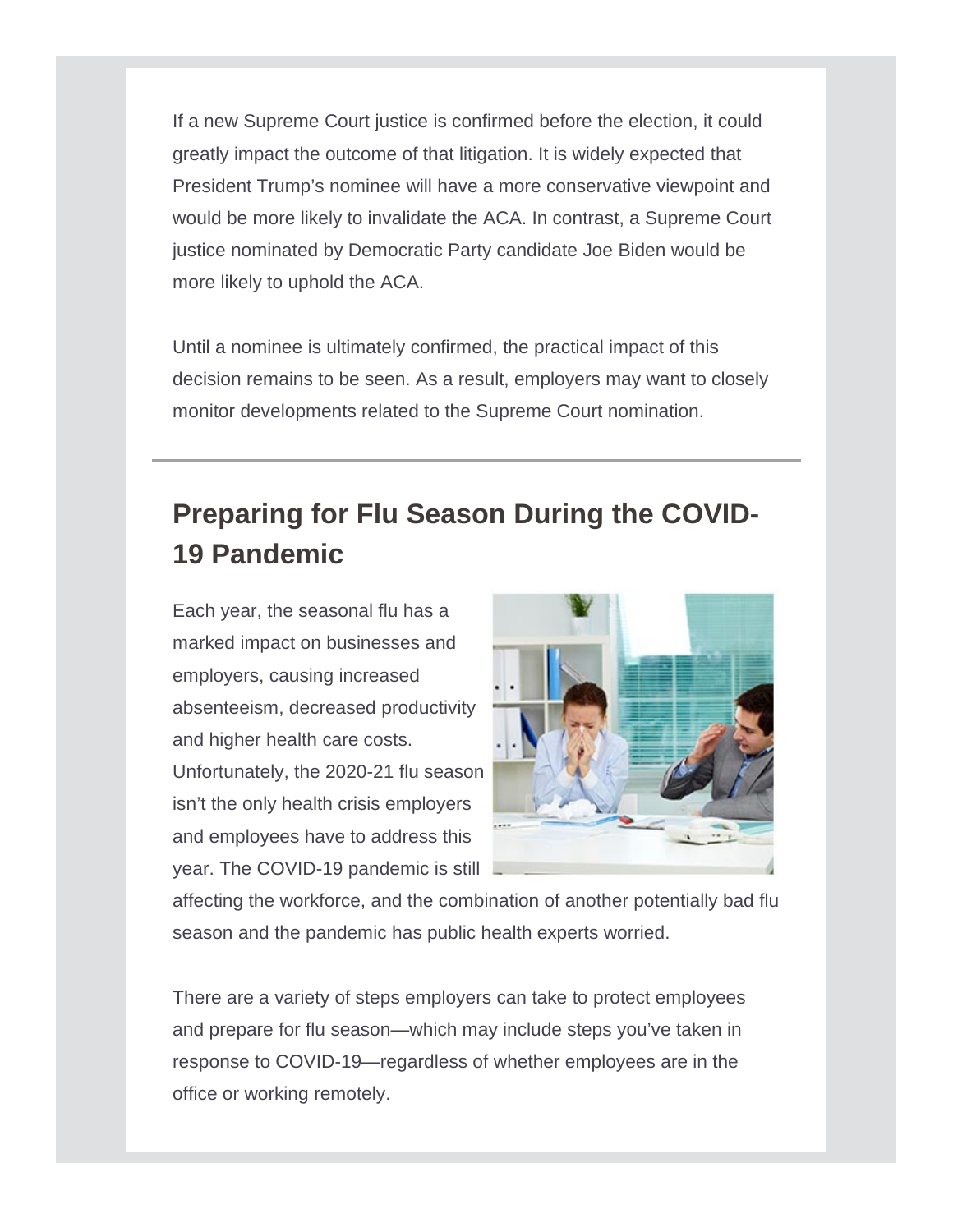If a new Supreme Court justice is confirmed before the election, it could greatly impact the outcome of that litigation. It is widely expected that President Trump's nominee will have a more conservative viewpoint and would be more likely to invalidate the ACA. In contrast, a Supreme Court justice nominated by Democratic Party candidate Joe Biden would be more likely to uphold the ACA.

Until a nominee is ultimately confirmed, the practical impact of this decision remains to be seen. As a result, employers may want to closely monitor developments related to the Supreme Court nomination.

# **Preparing for Flu Season During the COVID-19 Pandemic**

Each year, the seasonal flu has a marked impact on businesses and employers, causing increased absenteeism, decreased productivity and higher health care costs. Unfortunately, the 2020-21 flu season isn't the only health crisis employers and employees have to address this year. The COVID-19 pandemic is still



affecting the workforce, and the combination of another potentially bad flu season and the pandemic has public health experts worried.

There are a variety of steps employers can take to protect employees and prepare for flu season—which may include steps you've taken in response to COVID-19—regardless of whether employees are in the office or working remotely.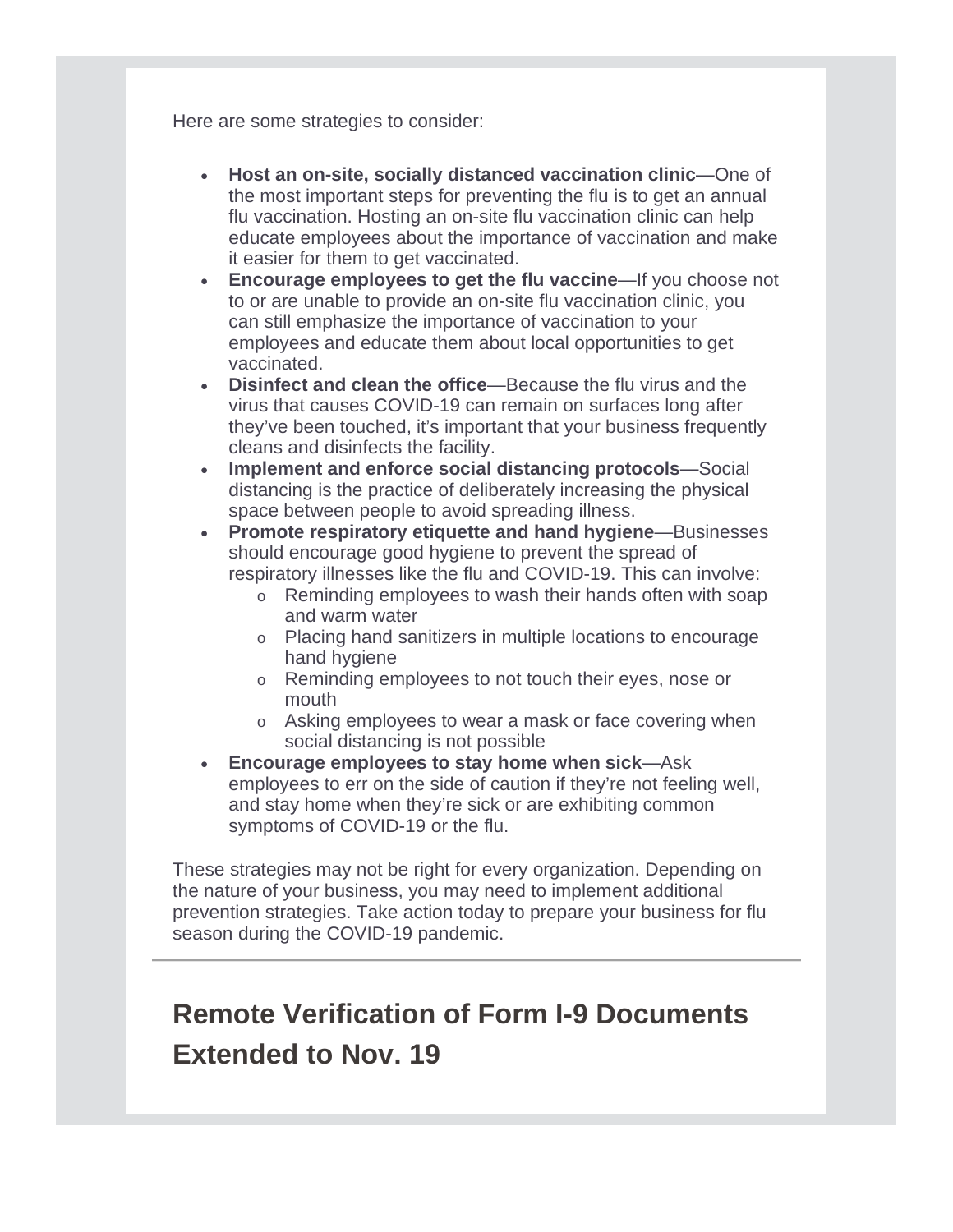Here are some strategies to consider:

- **Host an on-site, socially distanced vaccination clinic**—One of the most important steps for preventing the flu is to get an annual flu vaccination. Hosting an on-site flu vaccination clinic can help educate employees about the importance of vaccination and make it easier for them to get vaccinated.
- **Encourage employees to get the flu vaccine—If you choose not** to or are unable to provide an on-site flu vaccination clinic, you can still emphasize the importance of vaccination to your employees and educate them about local opportunities to get vaccinated.
- **Disinfect and clean the office**—Because the flu virus and the virus that causes COVID-19 can remain on surfaces long after they've been touched, it's important that your business frequently cleans and disinfects the facility.
- **Implement and enforce social distancing protocols**—Social distancing is the practice of deliberately increasing the physical space between people to avoid spreading illness.
- **Promote respiratory etiquette and hand hygiene**—Businesses should encourage good hygiene to prevent the spread of respiratory illnesses like the flu and COVID-19. This can involve:
	- o Reminding employees to wash their hands often with soap and warm water
	- o Placing hand sanitizers in multiple locations to encourage hand hygiene
	- o Reminding employees to not touch their eyes, nose or mouth
	- o Asking employees to wear a mask or face covering when social distancing is not possible
- **Encourage employees to stay home when sick**—Ask employees to err on the side of caution if they're not feeling well, and stay home when they're sick or are exhibiting common symptoms of COVID-19 or the flu.

These strategies may not be right for every organization. Depending on the nature of your business, you may need to implement additional prevention strategies. Take action today to prepare your business for flu season during the COVID-19 pandemic.

### **Remote Verification of Form I-9 Documents Extended to Nov. 19**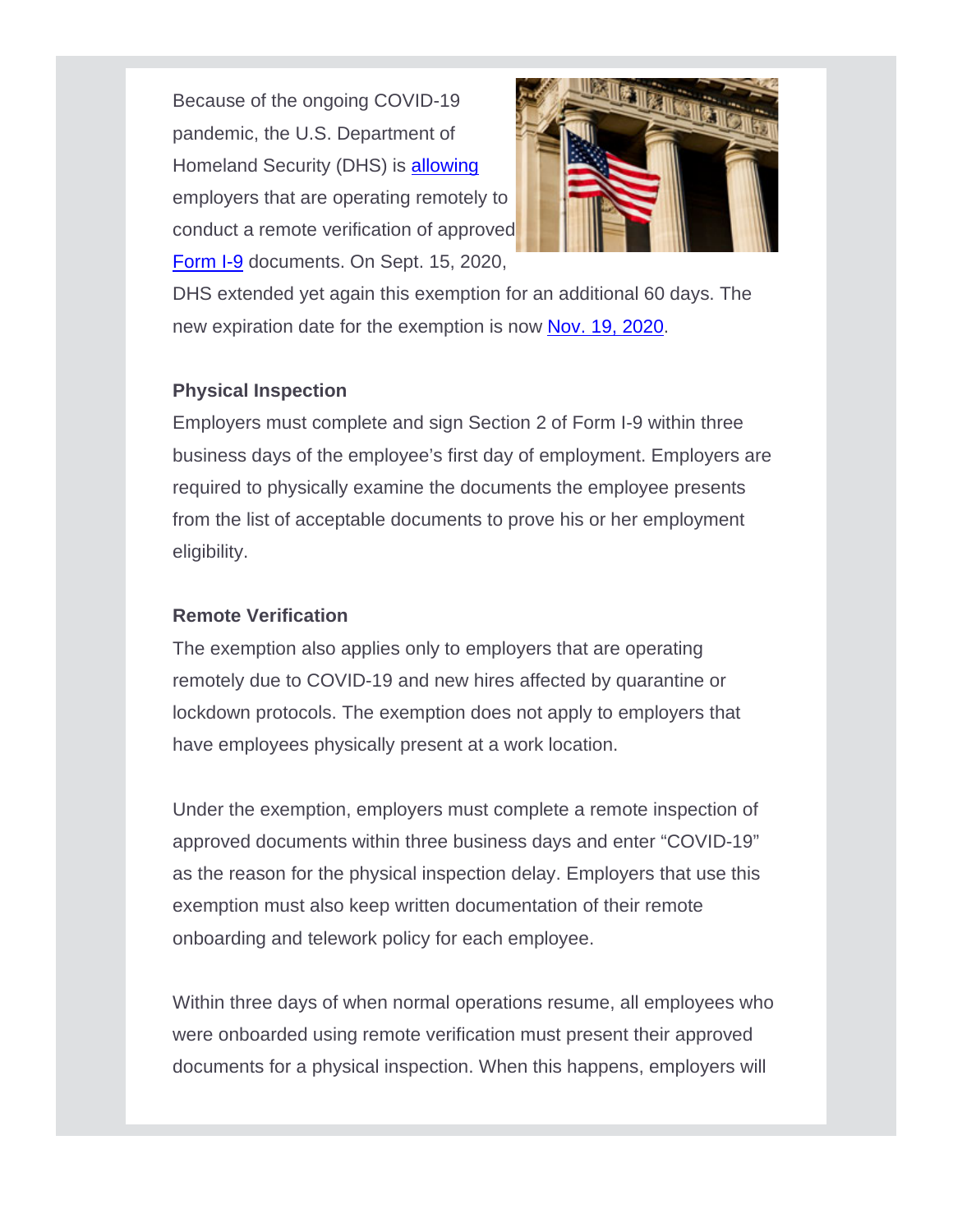Because of the ongoing COVID-19 pandemic, the U.S. Department of Homeland Security (DHS) is [allowing](https://www.ice.gov/news/releases/dhs-announces-flexibility-requirements-related-form-i-9-compliance) employers that are operating remotely to conduct a remote verification of approved [Form I-9](https://www.uscis.gov/sites/default/files/document/forms/i-9-paper-version.pdf) documents. On Sept. 15, 2020,



DHS extended yet again this exemption for an additional 60 days. The new expiration date for the exemption is now [Nov. 19, 2020.](https://www.ice.gov/news/releases/ice-announces-extension-i-9-compliance-flexibility)

### **Physical Inspection**

Employers must complete and sign Section 2 of Form I-9 within three business days of the employee's first day of employment. Employers are required to physically examine the documents the employee presents from the list of acceptable documents to prove his or her employment eligibility.

### **Remote Verification**

The exemption also applies only to employers that are operating remotely due to COVID-19 and new hires affected by quarantine or lockdown protocols. The exemption does not apply to employers that have employees physically present at a work location.

Under the exemption, employers must complete a remote inspection of approved documents within three business days and enter "COVID-19" as the reason for the physical inspection delay. Employers that use this exemption must also keep written documentation of their remote onboarding and telework policy for each employee.

Within three days of when normal operations resume, all employees who were onboarded using remote verification must present their approved documents for a physical inspection. When this happens, employers will